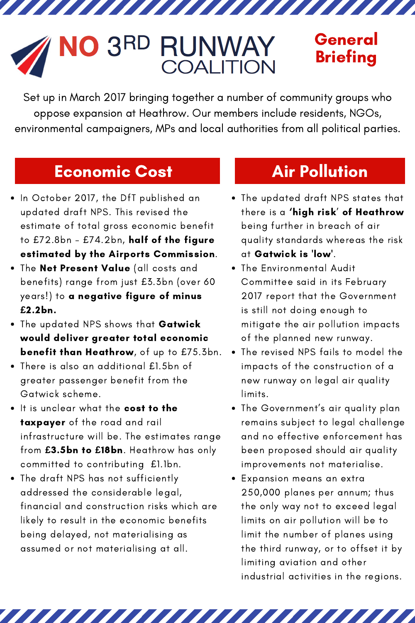# $3<sub>RD</sub>$ **RUNWAY**<br>COALITION

## General **Briefing**

Set up in March 2017 bringing together a number of community groups who oppose expansion at Heathrow. Our members include residents, NGOs, environmental campaigners, MPs and local authorities from all political parties.

a kasan da kasan da kasa

### Economic Cost

- In October 2017, the DfT published an updated draft NPS. This revised the estimate of total gross economic benefit to £72.8bn - £74.2bn, half of the figure estimated by the Airports Commission.
- . The Net Present Value (all costs and benefits) range from just £3.3bn (over 60 years!) to a negative figure of minus **£**2.2bn.
- The updated NPS shows that Gatwick would deliver greater total economic benefit than Heathrow, of up to £75.3bn.
- There is also an additional £1.5bn of greater passenger benefit from the Gatwick scheme.
- It is unclear what the cost to the taxpayer of the road and rail infrastructure will be. The estimates range from **£**3.5bn to **£**18bn. Heathrow has only committed to contributing £1.1bn.
- The draft NPS has not sufficiently addressed the considerable legal, financial and construction risks which are likely to result in the economic benefits being delayed, not materialising as assumed or not materialising at all.

# Air Pollution

- The updated draft NPS states that there is a 'high risk' of Heathrow being further in breach of air quality standards whereas the risk at Gatwick is 'low'.
- The Environmental Audit Committee said in its February 2017 report that the Government is still not doing enough to mitigate the air pollution impacts of the planned new runway.
- The revised NPS fails to model the impacts of the construction of a new runway on legal air quality limits.
- The Government's air quality plan remains subject to legal challenge and no effective enforcement has been proposed should air quality improvements not materialise.
- Expansion means an extra 250,000 planes per annum; thus the only way not to exceed legal limits on air pollution will be to limit the number of planes using the third runway, or to offset it by limiting aviation and other industrial activities in the regions.